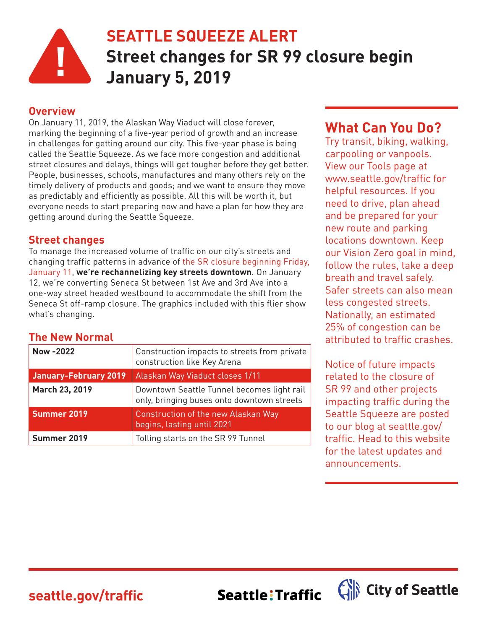

## **SEATTLE SQUEEZE ALERT Street changes for SR 99 closure begin January 5, 2019**

#### **Overview**

On January 11, 2019, the Alaskan Way Viaduct will close forever, marking the beginning of a five-year period of growth and an increase in challenges for getting around our city. This five-year phase is being called the Seattle Squeeze. As we face more congestion and additional street closures and delays, things will get tougher before they get better. People, businesses, schools, manufactures and many others rely on the timely delivery of products and goods; and we want to ensure they move as predictably and efficiently as possible. All this will be worth it, but everyone needs to start preparing now and have a plan for how they are getting around during the Seattle Squeeze.

#### **Street changes**

To manage the increased volume of traffic on our city's streets and [changing traffic patterns in advance of the SR closure beginning Friday,](http://www.wsdot.wa.gov/Projects/Viaduct/realign99) January 11, **we're rechannelizing key streets downtown**. On January 12, we're converting Seneca St between 1st Ave and 3rd Ave into a one-way street headed westbound to accommodate the shift from the Seneca St off-ramp closure. The graphics included with this flier show what's changing.

#### **The New Normal**

| Now -2022                    | Construction impacts to streets from private<br>construction like Key Arena              |
|------------------------------|------------------------------------------------------------------------------------------|
| <b>January-February 2019</b> | Alaskan Way Viaduct closes 1/11                                                          |
| March 23, 2019               | Downtown Seattle Tunnel becomes light rail<br>only, bringing buses onto downtown streets |
| Summer 2019                  | Construction of the new Alaskan Way<br>begins, lasting until 2021                        |
| Summer 2019                  | Tolling starts on the SR 99 Tunnel                                                       |

### **What Can You Do?**

Try transit, biking, walking, carpooling or vanpools. View our Tools page at www.seattle.gov/traffic for helpful resources. If you need to drive, plan ahead and be prepared for your new route and parking locations downtown. Keep our Vision Zero goal in mind, follow the rules, take a deep breath and travel safely. Safer streets can also mean less congested streets. Nationally, an estimated 25% of congestion can be attributed to traffic crashes.

Notice of future impacts related to the closure of SR 99 and other projects impacting traffic during the Seattle Squeeze are posted to our blog at seattle.gov/ traffic. Head to this website for the latest updates and announcements.

City of Seattle

**seattle.gov/traffic**

Seattle: Traffic